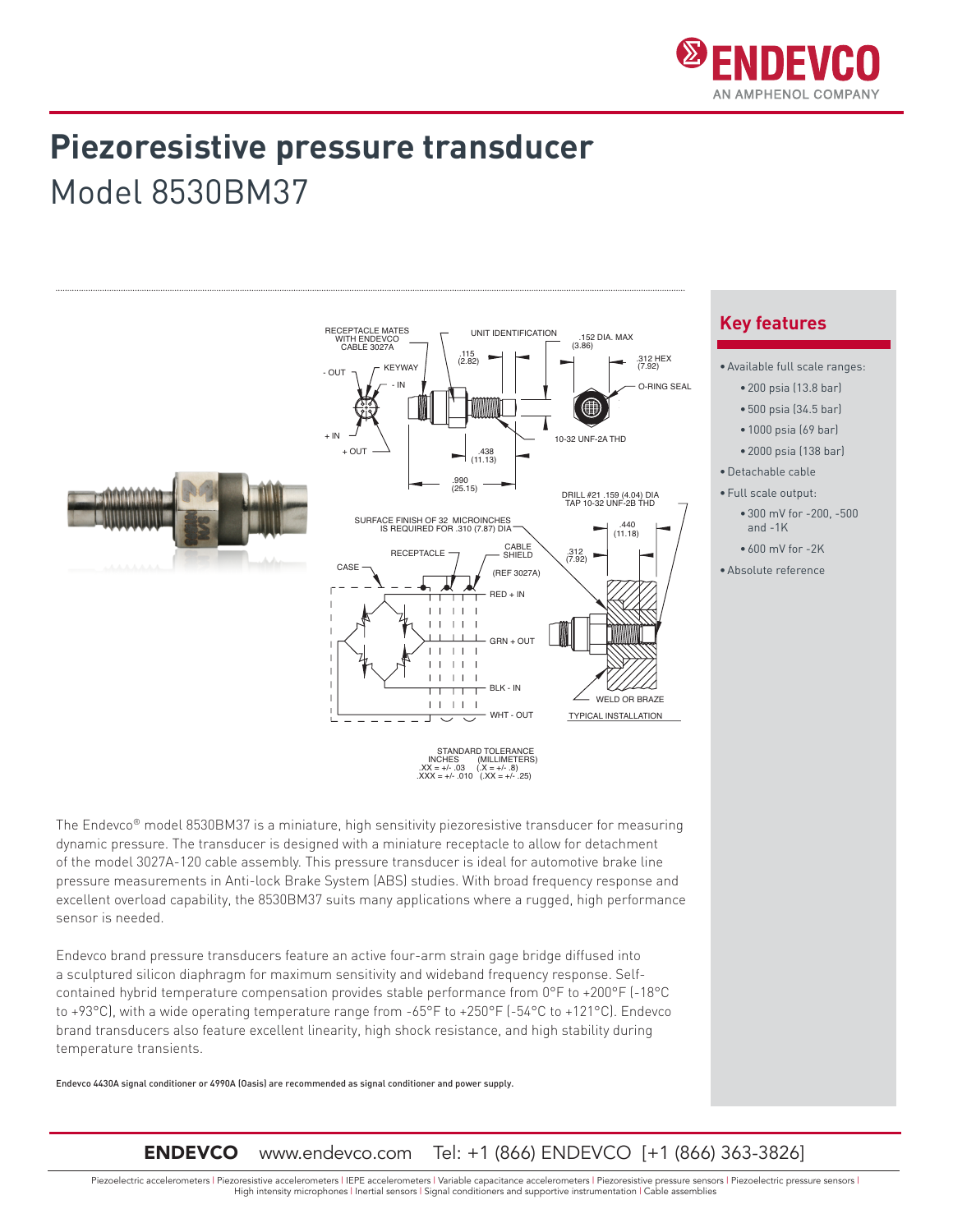

## **Piezoresistive pressure transducer** Model 8530BM37



STANDARD TOLERANCE<br>
INCHES (MILLIMETERS)<br>
.XX = +/- .03 (.X = +/- .8)<br>
.XXX = +/- .010 (.XX = +/- .25)

The Endevco® model 8530BM37 is a miniature, high sensitivity piezoresistive transducer for measuring dynamic pressure. The transducer is designed with a miniature receptacle to allow for detachment of the model 3027A-120 cable assembly. This pressure transducer is ideal for automotive brake line pressure measurements in Anti-lock Brake System (ABS) studies. With broad frequency response and excellent overload capability, the 8530BM37 suits many applications where a rugged, high performance sensor is needed.

Endevco brand pressure transducers feature an active four-arm strain gage bridge diffused into a sculptured silicon diaphragm for maximum sensitivity and wideband frequency response. Selfcontained hybrid temperature compensation provides stable performance from 0°F to +200°F (-18°C to +93°C), with a wide operating temperature range from -65°F to +250°F (-54°C to +121°C). Endevco brand transducers also feature excellent linearity, high shock resistance, and high stability during temperature transients.

Endevco 4430A signal conditioner or 4990A (Oasis) are recommended as signal conditioner and power supply.

### **Key features**

- •Available full scale ranges:
	- 200 psia (13.8 bar)
	- 500 psia (34.5 bar)
	- 1000 psia (69 bar)
	- 2000 psia (138 bar)
- •Detachable cable
- •Full scale output:
	- 300 mV for -200, -500 and  $-1K$
	- 600 mV for -2K
- •Absolute reference

### ENDEVCO www.endevco.com Tel: +1 (866) ENDEVCO [+1 (866) 363-3826]

Piezoelectric accelerometers | Piezoresistive accelerometers | IEPE accelerometers | Variable capacitance accelerometers | Piezoresistive pressure sensors | Piezoelectric pressure sensors | High intensity microphones | Inertial sensors | Signal conditioners and supportive instrumentation | Cable assemblies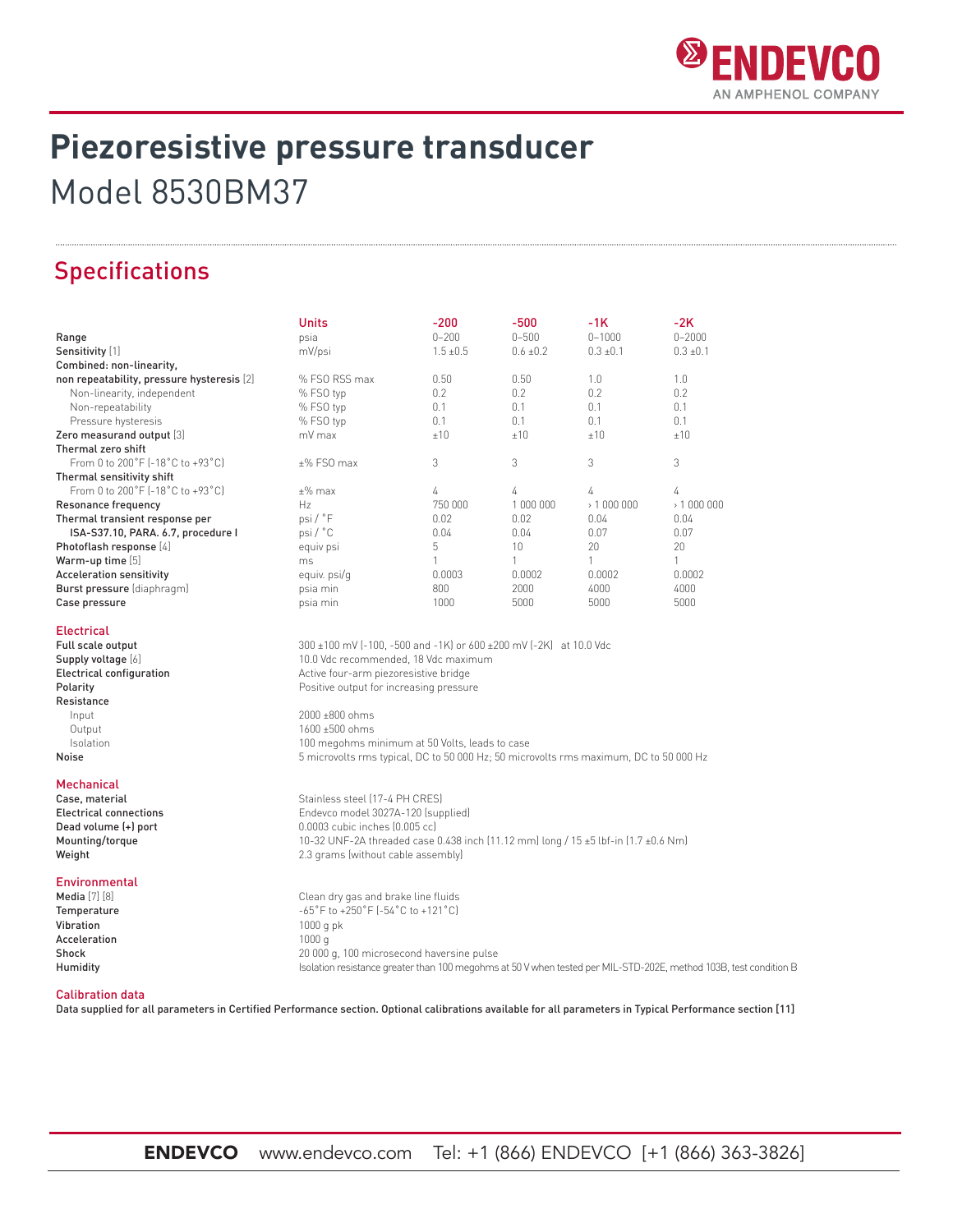

# **Piezoresistive pressure transducer** Model 8530BM37

## Specifications

|                                            | <b>Units</b>                                                                                                  | $-200$        | $-500$        | $-1K$         | $-2K$         |  |
|--------------------------------------------|---------------------------------------------------------------------------------------------------------------|---------------|---------------|---------------|---------------|--|
| Range                                      | psia                                                                                                          | $0 - 200$     | $0 - 500$     | $0 - 1000$    | $0 - 2000$    |  |
| Sensitivity [1]                            | mV/psi                                                                                                        | $1.5 \pm 0.5$ | $0.6 \pm 0.2$ | $0.3 \pm 0.1$ | $0.3 \pm 0.1$ |  |
| Combined: non-linearity,                   |                                                                                                               |               |               |               |               |  |
| non repeatability, pressure hysteresis [2] | % FSO RSS max                                                                                                 | 0.50          | 0.50          | 1.0           | 1.0           |  |
| Non-linearity, independent                 | % FSO typ                                                                                                     | 0.2           | 0.2           | 0.2           | 0.2           |  |
| Non-repeatability                          | % FSO typ                                                                                                     | 0.1           | 0.1           | 0.1           | 0.1           |  |
| Pressure hysteresis                        | % FSO typ                                                                                                     | 0.1           | 0.1           | 0.1           | 0.1           |  |
| Zero measurand output [3]                  | mV max                                                                                                        | ±10           | ±10           | ±10           | ±10           |  |
| Thermal zero shift                         |                                                                                                               |               |               |               |               |  |
| From 0 to 200°F (-18°C to +93°C)           | $±%$ FSO max                                                                                                  | 3             | 3             | 3             | 3             |  |
| Thermal sensitivity shift                  |                                                                                                               |               |               |               |               |  |
| From 0 to 200°F (-18°C to +93°C)           | $±\%$ max                                                                                                     | 4             | 4             | 4             | 4             |  |
| Resonance frequency                        | Hz                                                                                                            | 750 000       | 1 000 000     | > 1000000     | > 1000000     |  |
| Thermal transient response per             | psi/°F                                                                                                        | 0.02          | 0.02          | 0.04          | 0.04          |  |
| ISA-S37.10, PARA. 6.7, procedure I         | psi/°C                                                                                                        | 0.04          | 0.04          | 0.07          | 0.07          |  |
| Photoflash response [4]                    | equiv psi                                                                                                     | 5             | 10            | 20            | 20            |  |
| Warm-up time [5]                           | ms                                                                                                            | 1             | 1             | $\mathbf{1}$  | 1             |  |
| <b>Acceleration sensitivity</b>            | equiv. psi/q                                                                                                  | 0.0003        | 0.0002        | 0.0002        | 0.0002        |  |
| Burst pressure (diaphragm)                 | psia min                                                                                                      | 800           | 2000          | 4000          | 4000          |  |
| Case pressure                              | psia min                                                                                                      | 1000          | 5000          | 5000          | 5000          |  |
| <b>Electrical</b>                          |                                                                                                               |               |               |               |               |  |
| Full scale output                          | 300 ±100 mV (-100, -500 and -1K) or 600 ±200 mV (-2K) at 10.0 Vdc                                             |               |               |               |               |  |
| Supply voltage [6]                         | 10.0 Vdc recommended, 18 Vdc maximum                                                                          |               |               |               |               |  |
| <b>Electrical configuration</b>            | Active four-arm piezoresistive bridge                                                                         |               |               |               |               |  |
| Polarity                                   | Positive output for increasing pressure                                                                       |               |               |               |               |  |
| Resistance                                 |                                                                                                               |               |               |               |               |  |
| Input                                      | 2000 ±800 ohms                                                                                                |               |               |               |               |  |
| Output                                     | 1600 ±500 ohms                                                                                                |               |               |               |               |  |
| Isolation                                  | 100 megohms minimum at 50 Volts, leads to case                                                                |               |               |               |               |  |
| Noise                                      | 5 microvolts rms typical, DC to 50 000 Hz; 50 microvolts rms maximum, DC to 50 000 Hz                         |               |               |               |               |  |
|                                            |                                                                                                               |               |               |               |               |  |
| <b>Mechanical</b>                          |                                                                                                               |               |               |               |               |  |
| Case, material                             | Stainless steel (17-4 PH CRES)                                                                                |               |               |               |               |  |
| <b>Electrical connections</b>              | Endevco model 3027A-120 (supplied)                                                                            |               |               |               |               |  |
| Dead volume (+) port                       | 0.0003 cubic inches (0.005 cc)                                                                                |               |               |               |               |  |
| Mounting/torque                            | 10-32 UNF-2A threaded case 0.438 inch (11.12 mm) long / 15 ±5 lbf-in (1.7 ±0.6 Nm)                            |               |               |               |               |  |
| Weight                                     | 2.3 grams (without cable assembly)                                                                            |               |               |               |               |  |
| Environmental                              |                                                                                                               |               |               |               |               |  |
| <b>Media</b> [7] [8]                       | Clean dry gas and brake line fluids                                                                           |               |               |               |               |  |
| Temperature                                | $-65^{\circ}$ F to $+250^{\circ}$ F ( $-54^{\circ}$ C to $+121^{\circ}$ C)                                    |               |               |               |               |  |
| Vibration                                  | $1000$ g pk                                                                                                   |               |               |               |               |  |
| Acceleration                               | 1000q                                                                                                         |               |               |               |               |  |
| Shock                                      | 20 000 g, 100 microsecond haversine pulse                                                                     |               |               |               |               |  |
| Humidity                                   | Isolation resistance greater than 100 megohms at 50 V when tested per MIL-STD-202E, method 103B, test conditi |               |               |               |               |  |

### Calibration data

Data supplied for all parameters in Certified Performance section. Optional calibrations available for all parameters in Typical Performance section [11]

Isolation resistance greater than 100 megohms at 50 V when tested per MIL-STD-202E, method 103B, test condition B